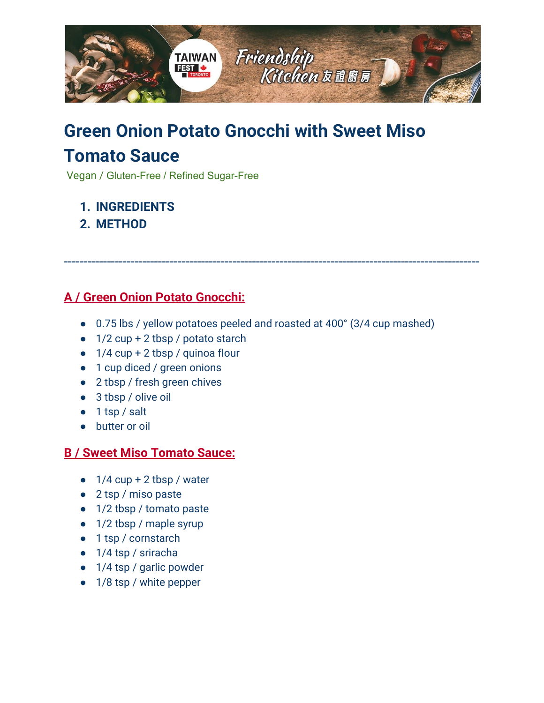

## **Green Onion Potato Gnocchi with Sweet Miso Tomato Sauce**

Vegan / Gluten-Free / Refined Sugar-Free

- **1. [INGREDIENTS](#page-0-0)**
- **2. [METHOD](#page-1-0)**

## <span id="page-0-0"></span>**A / Green Onion Potato Gnocchi:**

● 0.75 lbs / yellow potatoes peeled and roasted at 400° (3/4 cup mashed)

----------------------------------------------------------------------------------------------------------

- $\bullet$  1/2 cup + 2 tbsp / potato starch
- $\bullet$  1/4 cup + 2 tbsp / quinoa flour
- 1 cup diced / green onions
- 2 tbsp / fresh green chives
- 3 tbsp / olive oil
- 1 tsp / salt
- butter or oil

## **B / Sweet Miso Tomato Sauce:**

- $\bullet$  1/4 cup + 2 tbsp / water
- 2 tsp / miso paste
- 1/2 tbsp / tomato paste
- 1/2 tbsp / maple syrup
- 1 tsp / cornstarch
- 1/4 tsp / sriracha
- 1/4 tsp / garlic powder
- 1/8 tsp / white pepper